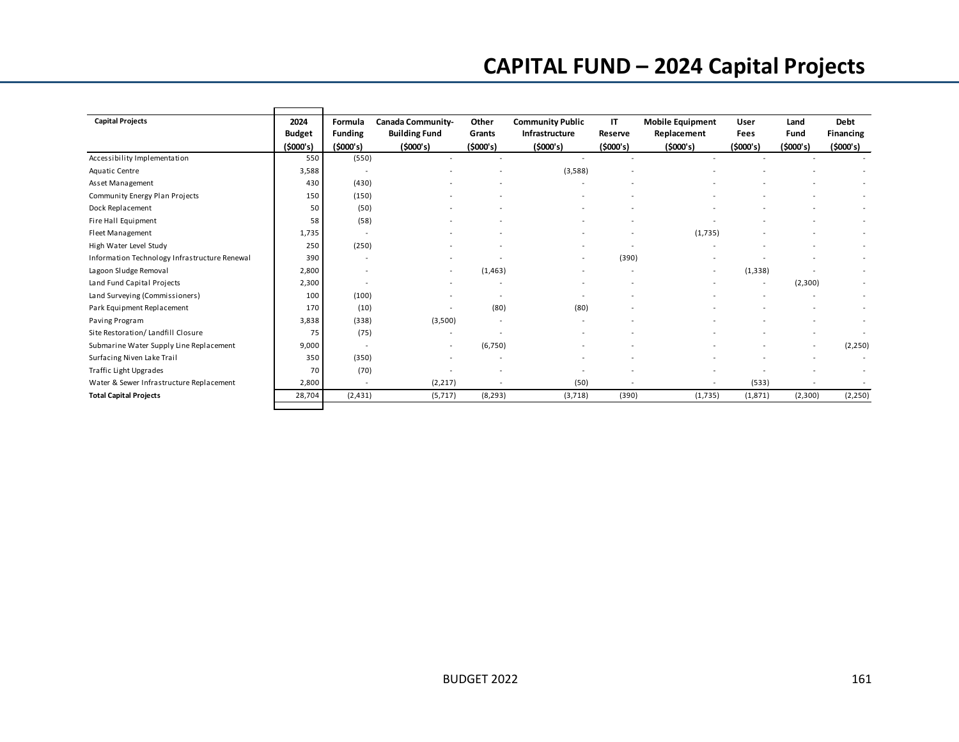## **CAPITAL FUND – 2024 Capital Projects**

| <b>Capital Projects</b>                       | 2024<br><b>Budget</b> | Formula<br><b>Funding</b> | Canada Community-<br><b>Building Fund</b> | Other<br>Grants | <b>Community Public</b><br>Infrastructure | IT<br>Reserve | <b>Mobile Equipment</b><br>Replacement | User<br>Fees             | Land<br>Fund | Debt<br><b>Financing</b> |
|-----------------------------------------------|-----------------------|---------------------------|-------------------------------------------|-----------------|-------------------------------------------|---------------|----------------------------------------|--------------------------|--------------|--------------------------|
|                                               | (5000's)<br>550       | (5000's)<br>(550)         | (5000's)                                  | (5000's)        | (5000's)                                  | (5000's)      | (5000's)                               | (5000's)                 | (5000's)     | (\$000's)                |
| Accessibility Implementation                  |                       |                           |                                           |                 |                                           |               |                                        |                          |              |                          |
| Aquatic Centre                                | 3,588                 | $\sim$                    |                                           |                 | (3,588)                                   |               |                                        |                          |              |                          |
| Asset Management                              | 430                   | (430)                     |                                           |                 |                                           |               |                                        |                          |              |                          |
| Community Energy Plan Projects                | 150                   | (150)                     |                                           |                 |                                           |               |                                        |                          |              |                          |
| Dock Replacement                              | 50                    | (50)                      |                                           |                 |                                           |               |                                        |                          |              |                          |
| Fire Hall Equipment                           | 58                    | (58)                      |                                           |                 |                                           |               |                                        |                          |              |                          |
| Fleet Management                              | 1,735                 | $\sim$                    |                                           |                 |                                           |               | (1,735)                                |                          |              |                          |
| High Water Level Study                        | 250                   | (250)                     |                                           |                 |                                           |               |                                        |                          |              |                          |
| Information Technology Infrastructure Renewal | 390                   | $\overline{\phantom{a}}$  |                                           |                 |                                           | (390)         |                                        |                          |              |                          |
| Lagoon Sludge Removal                         | 2,800                 | $\overline{\phantom{a}}$  | $\overline{\phantom{a}}$                  | (1, 463)        |                                           |               | $\overline{\phantom{a}}$               | (1, 338)                 |              |                          |
| Land Fund Capital Projects                    | 2,300                 |                           |                                           |                 |                                           |               |                                        | $\overline{\phantom{a}}$ | (2,300)      |                          |
| Land Surveying (Commissioners)                | 100                   | (100)                     |                                           |                 | $\overline{\phantom{a}}$                  |               |                                        |                          |              |                          |
| Park Equipment Replacement                    | 170                   | (10)                      |                                           | (80)            | (80)                                      |               |                                        |                          |              |                          |
| Paving Program                                | 3,838                 | (338)                     | (3,500)                                   |                 |                                           |               |                                        |                          |              |                          |
| Site Restoration/ Landfill Closure            | 75                    | (75)                      |                                           |                 |                                           |               |                                        |                          |              |                          |
| Submarine Water Supply Line Replacement       | 9,000                 | $\sim$                    |                                           | (6,750)         |                                           |               |                                        |                          |              | (2,250)                  |
| Surfacing Niven Lake Trail                    | 350                   | (350)                     |                                           |                 |                                           |               |                                        |                          |              |                          |
| Traffic Light Upgrades                        | 70                    | (70)                      |                                           |                 |                                           |               |                                        |                          |              |                          |
| Water & Sewer Infrastructure Replacement      | 2,800                 | $\sim$                    | (2, 217)                                  |                 | (50)                                      |               |                                        | (533)                    |              |                          |
| <b>Total Capital Projects</b>                 | 28,704                | (2, 431)                  | (5,717)                                   | (8, 293)        | (3,718)                                   | (390)         | (1,735)                                | (1,871)                  | (2,300)      | (2, 250)                 |
|                                               |                       |                           |                                           |                 |                                           |               |                                        |                          |              |                          |